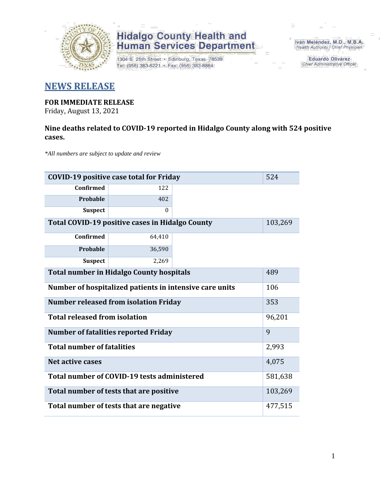

1304 S. 25th Street · Edinburg, Texas 78539 Tel: (956) 383-6221 · Fax: (956) 383-8864

Iván Meléndez, M.D., M.B.A. Health Authority / Chief Physician

> **Eduardo Olivarez Chief Administrative Officer**

#### **NEWS RELEASE**

#### **FOR IMMEDIATE RELEASE**

Friday, August 13, 2021

#### **Nine deaths related to COVID-19 reported in Hidalgo County along with 524 positive cases.**

*\*All numbers are subject to update and review*

| <b>COVID-19 positive case total for Friday</b>          |                                                 |         |         |  |  |  |
|---------------------------------------------------------|-------------------------------------------------|---------|---------|--|--|--|
| Confirmed                                               | 122                                             |         |         |  |  |  |
| Probable                                                | 402                                             |         |         |  |  |  |
| <b>Suspect</b>                                          | $\theta$                                        |         |         |  |  |  |
|                                                         | Total COVID-19 positive cases in Hidalgo County |         | 103,269 |  |  |  |
| <b>Confirmed</b>                                        | 64,410                                          |         |         |  |  |  |
| Probable                                                | 36,590                                          |         |         |  |  |  |
| <b>Suspect</b>                                          | 2,269                                           |         |         |  |  |  |
| <b>Total number in Hidalgo County hospitals</b>         | 489                                             |         |         |  |  |  |
| Number of hospitalized patients in intensive care units | 106                                             |         |         |  |  |  |
|                                                         | <b>Number released from isolation Friday</b>    |         | 353     |  |  |  |
| <b>Total released from isolation</b>                    |                                                 |         | 96,201  |  |  |  |
|                                                         | <b>Number of fatalities reported Friday</b>     |         | 9       |  |  |  |
| <b>Total number of fatalities</b>                       |                                                 |         | 2,993   |  |  |  |
| Net active cases                                        |                                                 |         | 4,075   |  |  |  |
| Total number of COVID-19 tests administered             |                                                 | 581,638 |         |  |  |  |
| Total number of tests that are positive                 | 103,269                                         |         |         |  |  |  |
| Total number of tests that are negative                 | 477,515                                         |         |         |  |  |  |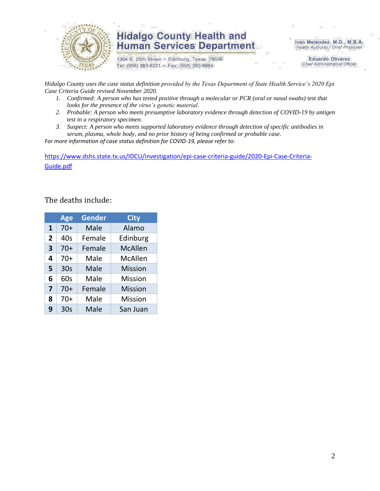

1304 S. 25th Street · Edinburg, Texas 78539 Tel: (956) 383-6221 · Fax: (956) 383-8864

Iván Meléndez, M.D., M.B.A. Health Authority / Chief Physician

> **Eduardo Olivarez Chief Administrative Officer**

*Hidalgo County uses the case status definition provided by the Texas Department of State Health Service's 2020 Epi Case Criteria Guide revised November 2020.*

- *1. Confirmed: A person who has tested positive through a molecular or PCR (oral or nasal swabs) test that looks for the presence of the virus's genetic material.*
- *2. Probable: A person who meets presumptive laboratory evidence through detection of COVID-19 by antigen test in a respiratory specimen.*
- *3. Suspect: A person who meets supported laboratory evidence through detection of specific antibodies in serum, plasma, whole body, and no prior history of being confirmed or probable case.*

*For more information of case status definition for COVID-19, please refer to:*

[https://www.dshs.state.tx.us/IDCU/investigation/epi-case-criteria-guide/2020-Epi-Case-Criteria-](https://www.dshs.state.tx.us/IDCU/investigation/epi-case-criteria-guide/2020-Epi-Case-Criteria-Guide.pdf)[Guide.pdf](https://www.dshs.state.tx.us/IDCU/investigation/epi-case-criteria-guide/2020-Epi-Case-Criteria-Guide.pdf)

#### The deaths include:

|                | <b>Age</b>      | Gender | <b>City</b>    |
|----------------|-----------------|--------|----------------|
| 1              | $70+$           | Male   | Alamo          |
| $\overline{2}$ | 40s             | Female | Edinburg       |
| 3              | $70+$           | Female | <b>McAllen</b> |
| 4              | $70+$           | Male   | McAllen        |
| 5              | 30 <sub>s</sub> | Male   | <b>Mission</b> |
| 6              | 60s             | Male   | <b>Mission</b> |
| 7              | $70+$           | Female | <b>Mission</b> |
| 8              | $70+$           | Male   | <b>Mission</b> |
| 9              | 30 <sub>s</sub> | Male   | San Juan       |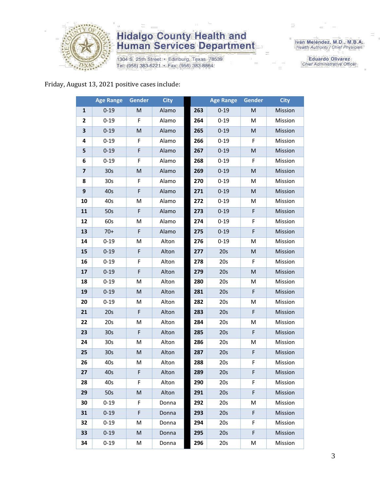

1304 S. 25th Street · Edinburg, Texas 78539 Tel: (956) 383-6221 · Fax: (956) 383-8864

Iván Meléndez, M.D., M.B.A.<br>Health Authority / Chief Physician

**Eduardo Olivarez** Chief Administrative Officer

#### Friday, August 13, 2021 positive cases include:

|                         | <b>Age Range</b> | Gender      | <b>City</b> |     | <b>Age Range</b> | Gender | <b>City</b>    |
|-------------------------|------------------|-------------|-------------|-----|------------------|--------|----------------|
| 1                       | $0 - 19$         | M           | Alamo       | 263 | $0 - 19$         | M      | Mission        |
| 2                       | $0 - 19$         | F           | Alamo       | 264 | $0 - 19$         | M      | Mission        |
| 3                       | $0 - 19$         | ${\sf M}$   | Alamo       | 265 | $0 - 19$         | M      | Mission        |
| 4                       | $0 - 19$         | F           | Alamo       | 266 | $0 - 19$         | F      | Mission        |
| 5                       | $0 - 19$         | F           | Alamo       | 267 | $0 - 19$         | M      | Mission        |
| 6                       | $0 - 19$         | F           | Alamo       | 268 | $0 - 19$         | F      | Mission        |
| $\overline{\mathbf{z}}$ | 30 <sub>s</sub>  | ${\sf M}$   | Alamo       | 269 | $0 - 19$         | M      | Mission        |
| 8                       | 30s              | F           | Alamo       | 270 | $0 - 19$         | Μ      | Mission        |
| 9                       | 40s              | F           | Alamo       | 271 | $0 - 19$         | M      | Mission        |
| 10                      | 40s              | M           | Alamo       | 272 | $0 - 19$         | M      | Mission        |
| 11                      | 50s              | F           | Alamo       | 273 | $0 - 19$         | F      | Mission        |
| 12                      | 60s              | M           | Alamo       | 274 | $0 - 19$         | F      | Mission        |
| 13                      | $70+$            | F           | Alamo       | 275 | $0 - 19$         | F      | Mission        |
| 14                      | $0 - 19$         | M           | Alton       | 276 | $0 - 19$         | M      | Mission        |
| 15                      | $0 - 19$         | $\mathsf F$ | Alton       | 277 | 20s              | M      | Mission        |
| 16                      | $0 - 19$         | F           | Alton       | 278 | 20s              | F      | Mission        |
| 17                      | $0 - 19$         | F           | Alton       | 279 | 20s              | M      | Mission        |
| 18                      | $0 - 19$         | M           | Alton       | 280 | 20s              | М      | Mission        |
| 19                      | $0 - 19$         | M           | Alton       | 281 | 20s              | F      | Mission        |
| 20                      | $0 - 19$         | M           | Alton       | 282 | 20s              | M      | Mission        |
| 21                      | 20s              | $\mathsf F$ | Alton       | 283 | 20s              | F      | Mission        |
| 22                      | 20s              | M           | Alton       | 284 | 20s              | Μ      | Mission        |
| 23                      | 30 <sub>s</sub>  | F           | Alton       | 285 | 20s              | F      | Mission        |
| 24                      | 30s              | M           | Alton       | 286 | 20s              | M      | Mission        |
| 25                      | 30 <sub>s</sub>  | M           | Alton       | 287 | 20s              | F      | Mission        |
| 26                      | 40s              | M           | Alton       | 288 | 20s              | F      | Mission        |
| 27                      | 40s              | F           | Alton       | 289 | 20s              | F      | Mission        |
| 28                      | 40s              | F.          | Alton       | 290 | 20s              | F.     | Mission        |
| 29                      | 50s              | M           | Alton       | 291 | 20s              | F      | <b>Mission</b> |
| 30                      | $0 - 19$         | F           | Donna       | 292 | 20s              | Μ      | Mission        |
| 31                      | $0 - 19$         | F           | Donna       | 293 | 20s              | F      | Mission        |
| 32                      | $0 - 19$         | M           | Donna       | 294 | 20s              | F      | Mission        |
| 33                      | $0 - 19$         | M           | Donna       | 295 | 20s              | F      | Mission        |
| 34                      | $0 - 19$         | M           | Donna       | 296 | 20s              | Μ      | Mission        |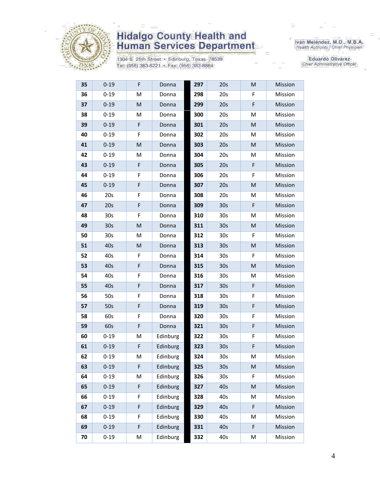

1304 S. 25th Street · Edinburg, Texas 78539 Tel: (956) 383-6221 · Fax: (956) 383-8864

Iván Meléndez, M.D., M.B.A.<br>Health Authority / Chief Physician

| 35         | $0 - 19$        | F           | Donna    | 297 | 20s             | M           | Mission |
|------------|-----------------|-------------|----------|-----|-----------------|-------------|---------|
| 36         | $0 - 19$        | M           | Donna    | 298 | 20s             | F           | Mission |
| 37         | $0 - 19$        | M           | Donna    | 299 | 20s             | F           | Mission |
| 38         | $0 - 19$        | M           | Donna    | 300 | 20s             | M           | Mission |
| 39         | $0 - 19$        | F           | Donna    | 301 | 20s             | M           | Mission |
| 40         | $0 - 19$        | F           | Donna    | 302 | 20s             | м           | Mission |
| 41         | $0 - 19$        | M           | Donna    | 303 | 20s             | M           | Mission |
| 42         | $0 - 19$        | M           | Donna    | 304 | 20s             | Μ           | Mission |
| 43         | $0 - 19$        | F           | Donna    | 305 | 20s             | F           | Mission |
| 44         | $0 - 19$        | F           | Donna    | 306 | 20s             | F           | Mission |
| 45         | $0 - 19$        | F           | Donna    | 307 | 20s             | M           | Mission |
| 46         | 20s             | F           | Donna    | 308 | 20s             | М           | Mission |
| 47         | 20s             | F           | Donna    | 309 | 30 <sub>s</sub> | F           | Mission |
| 48         | 30 <sub>s</sub> | F           | Donna    | 310 | 30 <sub>s</sub> | Μ           | Mission |
| 49         | 30 <sub>s</sub> | M           | Donna    | 311 | 30 <sub>s</sub> | M           | Mission |
| 50         | 30 <sub>s</sub> | M           | Donna    | 312 | 30 <sub>s</sub> | F           | Mission |
| 51         | 40s             | M           | Donna    | 313 | 30 <sub>s</sub> | M           | Mission |
| 52         | 40s             | F           | Donna    | 314 | 30 <sub>s</sub> | F           | Mission |
| 53         | 40s             | F           | Donna    | 315 | 30 <sub>s</sub> | M           | Mission |
| 54         | 40s             | F           | Donna    | 316 | 30 <sub>s</sub> | Μ           | Mission |
| 55         | 40s             | F           | Donna    | 317 | 30 <sub>s</sub> | F           | Mission |
| 56         | 50s             | F           | Donna    | 318 | 30 <sub>s</sub> | F           | Mission |
| 57         | 50s             | $\mathsf F$ | Donna    | 319 | 30 <sub>s</sub> | $\mathsf F$ | Mission |
| 58         | 60s             | F           | Donna    | 320 | 30 <sub>s</sub> | F           | Mission |
| 59         | 60s             | F           | Donna    | 321 | 30 <sub>s</sub> | F           | Mission |
| 60         | $0 - 19$        | M           | Edinburg | 322 | 30 <sub>s</sub> | F           | Mission |
| 61         | $0 - 19$        | F           | Edinburg | 323 | 30 <sub>s</sub> | F           | Mission |
| 62         | $0 - 19$        | M           | Edinburg | 324 | 30 <sub>s</sub> | M           | Mission |
| 63         | $0 - 19$        | F           | Edinburg | 325 | 30 <sub>s</sub> | M           | Mission |
| 64         | $0 - 19$        | M           | Edinburg | 326 | 30 <sub>s</sub> | F           | Mission |
| 65         | $0 - 19$        | F           | Edinburg | 327 | 40s             | M           | Mission |
| 66         | $0 - 19$        | F           | Edinburg | 328 | 40s             | Μ           | Mission |
| 67         | $0 - 19$        | F           | Edinburg | 329 | 40s             | F           | Mission |
| 68         | $0 - 19$        | F           | Edinburg | 330 | 40s             | М           | Mission |
| 69         | $0 - 19$        | F           | Edinburg | 331 | 40s             | $\mathsf F$ | Mission |
| ${\bf 70}$ | $0 - 19$        | M           | Edinburg | 332 | 40s             | М           | Mission |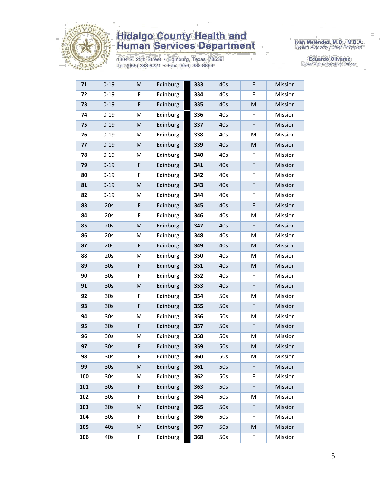

1304 S. 25th Street • Edinburg, Texas 78539<br>Tel: (956) 383-6221 • Fax: (956) 383-8864

Iván Meléndez, M.D., M.B.A.<br>Health Authority / Chief Physician

Eduardo Olivarez Chief Administrative Officer

| 71  | $0 - 19$        | M | Edinburg | 333 | 40s | F | Mission |
|-----|-----------------|---|----------|-----|-----|---|---------|
| 72  | $0 - 19$        | F | Edinburg | 334 | 40s | F | Mission |
| 73  | $0 - 19$        | F | Edinburg | 335 | 40s | M | Mission |
| 74  | $0 - 19$        | M | Edinburg | 336 | 40s | F | Mission |
| 75  | $0 - 19$        | M | Edinburg | 337 | 40s | F | Mission |
| 76  | $0 - 19$        | M | Edinburg | 338 | 40s | M | Mission |
| 77  | $0 - 19$        | M | Edinburg | 339 | 40s | M | Mission |
| 78  | $0 - 19$        | M | Edinburg | 340 | 40s | F | Mission |
| 79  | $0 - 19$        | F | Edinburg | 341 | 40s | F | Mission |
| 80  | $0 - 19$        | F | Edinburg | 342 | 40s | F | Mission |
| 81  | $0 - 19$        | M | Edinburg | 343 | 40s | F | Mission |
| 82  | $0 - 19$        | M | Edinburg | 344 | 40s | F | Mission |
| 83  | 20s             | F | Edinburg | 345 | 40s | F | Mission |
| 84  | 20s             | F | Edinburg | 346 | 40s | M | Mission |
| 85  | 20s             | M | Edinburg | 347 | 40s | F | Mission |
| 86  | 20s             | M | Edinburg | 348 | 40s | М | Mission |
| 87  | 20s             | F | Edinburg | 349 | 40s | M | Mission |
| 88  | 20s             | M | Edinburg | 350 | 40s | M | Mission |
| 89  | 30 <sub>s</sub> | F | Edinburg | 351 | 40s | M | Mission |
| 90  | 30s             | F | Edinburg | 352 | 40s | F | Mission |
| 91  | 30 <sub>s</sub> | M | Edinburg | 353 | 40s | F | Mission |
| 92  | 30s             | F | Edinburg | 354 | 50s | M | Mission |
| 93  | 30 <sub>s</sub> | F | Edinburg | 355 | 50s | F | Mission |
| 94  | 30s             | M | Edinburg | 356 | 50s | M | Mission |
| 95  | 30s             | F | Edinburg | 357 | 50s | F | Mission |
| 96  | 30 <sub>s</sub> | M | Edinburg | 358 | 50s | M | Mission |
| 97  | 30 <sub>s</sub> | F | Edinburg | 359 | 50s | M | Mission |
| 98  | 30s             | F | Edinburg | 360 | 50s | M | Mission |
| 99  | 30 <sub>s</sub> | M | Edinburg | 361 | 50s | F | Mission |
| 100 | 30 <sub>s</sub> | M | Edinburg | 362 | 50s | F | Mission |
| 101 | 30 <sub>s</sub> | F | Edinburg | 363 | 50s | F | Mission |
| 102 | 30 <sub>s</sub> | F | Edinburg | 364 | 50s | M | Mission |
| 103 | 30 <sub>s</sub> | M | Edinburg | 365 | 50s | F | Mission |
| 104 | 30 <sub>s</sub> | F | Edinburg | 366 | 50s | F | Mission |
| 105 | 40s             | M | Edinburg | 367 | 50s | M | Mission |
| 106 | 40s             | F | Edinburg | 368 | 50s | F | Mission |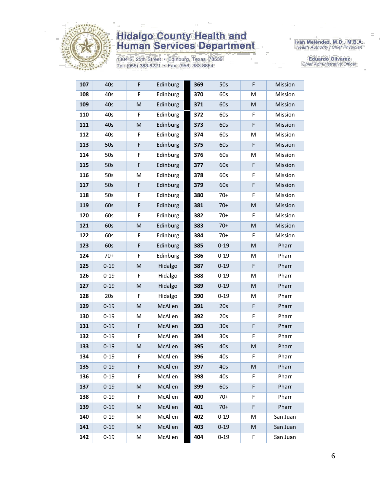

1304 S. 25th Street · Edinburg, Texas 78539 Tel: (956) 383-6221 · Fax: (956) 383-8864

Iván Meléndez, M.D., M.B.A.<br>Health Authority / Chief Physician

| 107 | 40s      | F                                                                                                          | Edinburg | 369 | 50s             | F         | Mission  |
|-----|----------|------------------------------------------------------------------------------------------------------------|----------|-----|-----------------|-----------|----------|
| 108 | 40s      | F                                                                                                          | Edinburg | 370 | 60s             | M         | Mission  |
| 109 | 40s      | ${\sf M}$                                                                                                  | Edinburg | 371 | 60s             | M         | Mission  |
| 110 | 40s      | F                                                                                                          | Edinburg | 372 | 60s             | F         | Mission  |
| 111 | 40s      | ${\sf M}$                                                                                                  | Edinburg | 373 | 60s             | F         | Mission  |
| 112 | 40s      | F                                                                                                          | Edinburg | 374 | 60s             | M         | Mission  |
| 113 | 50s      | F                                                                                                          | Edinburg | 375 | 60s             | F         | Mission  |
| 114 | 50s      | F                                                                                                          | Edinburg | 376 | 60s             | M         | Mission  |
| 115 | 50s      | F                                                                                                          | Edinburg | 377 | 60s             | F         | Mission  |
| 116 | 50s      | M                                                                                                          | Edinburg | 378 | 60s             | F         | Mission  |
| 117 | 50s      | F                                                                                                          | Edinburg | 379 | 60s             | F         | Mission  |
| 118 | 50s      | F                                                                                                          | Edinburg | 380 | $70+$           | F         | Mission  |
| 119 | 60s      | F                                                                                                          | Edinburg | 381 | $70+$           | M         | Mission  |
| 120 | 60s      | F                                                                                                          | Edinburg | 382 | $70+$           | F         | Mission  |
| 121 | 60s      | M                                                                                                          | Edinburg | 383 | $70+$           | ${\sf M}$ | Mission  |
| 122 | 60s      | F                                                                                                          | Edinburg | 384 | $70+$           | F         | Mission  |
| 123 | 60s      | F                                                                                                          | Edinburg | 385 | $0 - 19$        | M         | Pharr    |
| 124 | $70+$    | F                                                                                                          | Edinburg | 386 | $0 - 19$        | M         | Pharr    |
| 125 | $0 - 19$ | M                                                                                                          | Hidalgo  | 387 | $0 - 19$        | F         | Pharr    |
| 126 | $0 - 19$ | F                                                                                                          | Hidalgo  | 388 | $0 - 19$        | M         | Pharr    |
| 127 | $0 - 19$ | ${\sf M}$                                                                                                  | Hidalgo  | 389 | $0 - 19$        | M         | Pharr    |
| 128 | 20s      | F                                                                                                          | Hidalgo  | 390 | $0 - 19$        | M         | Pharr    |
| 129 | $0 - 19$ | ${\sf M}$                                                                                                  | McAllen  | 391 | 20s             | F         | Pharr    |
| 130 | $0 - 19$ | M                                                                                                          | McAllen  | 392 | 20s             | F         | Pharr    |
| 131 | $0 - 19$ | F                                                                                                          | McAllen  | 393 | 30 <sub>s</sub> | F         | Pharr    |
| 132 | $0 - 19$ | F                                                                                                          | McAllen  | 394 | 30 <sub>s</sub> | F         | Pharr    |
| 133 | $0 - 19$ | $\mathsf{M}% _{T}=\mathsf{M}_{T}\!\left( a,b\right) ,\ \mathsf{M}_{T}=\mathsf{M}_{T}\!\left( a,b\right) ,$ | McAllen  | 395 | 40s             | M         | Pharr    |
| 134 | $0 - 19$ | F                                                                                                          | McAllen  | 396 | 40s             | F         | Pharr    |
| 135 | $0 - 19$ | F                                                                                                          | McAllen  | 397 | 40s             | M         | Pharr    |
| 136 | $0 - 19$ | F                                                                                                          | McAllen  | 398 | 40s             | F         | Pharr    |
| 137 | $0 - 19$ | M                                                                                                          | McAllen  | 399 | 60s             | F         | Pharr    |
| 138 | $0 - 19$ | F                                                                                                          | McAllen  | 400 | $70+$           | F         | Pharr    |
| 139 | $0 - 19$ | M                                                                                                          | McAllen  | 401 | $70+$           | F         | Pharr    |
| 140 | $0 - 19$ | M                                                                                                          | McAllen  | 402 | $0 - 19$        | M         | San Juan |
| 141 | $0 - 19$ | M                                                                                                          | McAllen  | 403 | $0 - 19$        | M         | San Juan |
| 142 | $0 - 19$ | М                                                                                                          | McAllen  | 404 | $0 - 19$        | F         | San Juan |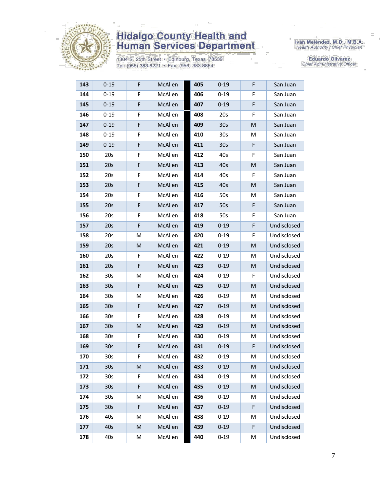

1304 S. 25th Street · Edinburg, Texas 78539 Tel: (956) 383-6221 · Fax: (956) 383-8864

Iván Meléndez, M.D., M.B.A.<br>Health Authority / Chief Physician

| 143 | $0 - 19$        | F | McAllen        | 405 | $0 - 19$        | F | San Juan    |
|-----|-----------------|---|----------------|-----|-----------------|---|-------------|
| 144 | $0 - 19$        | F | McAllen        | 406 | $0 - 19$        | F | San Juan    |
| 145 | $0 - 19$        | F | McAllen        | 407 | $0 - 19$        | F | San Juan    |
| 146 | $0 - 19$        | F | McAllen        | 408 | 20s             | F | San Juan    |
| 147 | $0 - 19$        | F | McAllen        | 409 | 30 <sub>s</sub> | M | San Juan    |
| 148 | $0 - 19$        | F | McAllen        | 410 | 30 <sub>s</sub> | М | San Juan    |
| 149 | $0 - 19$        | F | McAllen        | 411 | 30 <sub>s</sub> | F | San Juan    |
| 150 | 20s             | F | McAllen        | 412 | 40s             | F | San Juan    |
| 151 | 20s             | F | McAllen        | 413 | 40s             | M | San Juan    |
| 152 | 20s             | F | McAllen        | 414 | 40s             | F | San Juan    |
| 153 | 20s             | F | McAllen        | 415 | 40s             | M | San Juan    |
| 154 | 20s             | F | McAllen        | 416 | 50s             | M | San Juan    |
| 155 | 20s             | F | <b>McAllen</b> | 417 | 50s             | F | San Juan    |
| 156 | 20s             | F | McAllen        | 418 | 50s             | F | San Juan    |
| 157 | 20s             | F | McAllen        | 419 | $0 - 19$        | F | Undisclosed |
| 158 | 20s             | M | McAllen        | 420 | $0 - 19$        | F | Undisclosed |
| 159 | 20s             | M | McAllen        | 421 | $0 - 19$        | M | Undisclosed |
| 160 | 20s             | F | McAllen        | 422 | $0 - 19$        | M | Undisclosed |
| 161 | 20s             | F | <b>McAllen</b> | 423 | $0 - 19$        | M | Undisclosed |
| 162 | 30s             | M | McAllen        | 424 | $0 - 19$        | F | Undisclosed |
| 163 | 30 <sub>s</sub> | F | McAllen        | 425 | $0 - 19$        | M | Undisclosed |
| 164 | 30s             | M | McAllen        | 426 | $0 - 19$        | M | Undisclosed |
| 165 | 30 <sub>s</sub> | F | McAllen        | 427 | $0 - 19$        | M | Undisclosed |
| 166 | 30 <sub>s</sub> | F | McAllen        | 428 | $0 - 19$        | М | Undisclosed |
| 167 | 30 <sub>s</sub> | M | McAllen        | 429 | $0 - 19$        | M | Undisclosed |
| 168 | 30s             | F | McAllen        | 430 | $0 - 19$        | M | Undisclosed |
| 169 | 30 <sub>s</sub> | F | McAllen        | 431 | $0 - 19$        | F | Undisclosed |
| 170 | 30 <sub>s</sub> | F | McAllen        | 432 | $0 - 19$        | M | Undisclosed |
| 171 | 30 <sub>s</sub> | M | McAllen        | 433 | $0 - 19$        | M | Undisclosed |
| 172 | 30 <sub>s</sub> | F | McAllen        | 434 | $0 - 19$        | Μ | Undisclosed |
| 173 | 30 <sub>s</sub> | F | McAllen        | 435 | $0 - 19$        | M | Undisclosed |
| 174 | 30s             | M | McAllen        | 436 | $0 - 19$        | M | Undisclosed |
| 175 | 30 <sub>s</sub> | F | McAllen        | 437 | $0 - 19$        | F | Undisclosed |
| 176 | 40s             | M | McAllen        | 438 | $0 - 19$        | Μ | Undisclosed |
| 177 | 40s             | M | McAllen        | 439 | $0 - 19$        | F | Undisclosed |
| 178 | 40s             | М | McAllen        | 440 | $0 - 19$        | M | Undisclosed |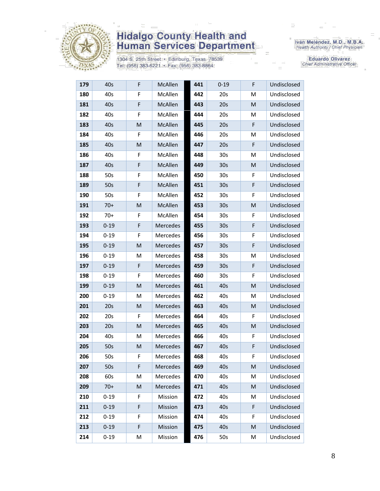

1304 S. 25th Street · Edinburg, Texas 78539 Tel: (956) 383-6221 · Fax: (956) 383-8864

Iván Meléndez, M.D., M.B.A.<br>Health Authority / Chief Physician

| 179 | 40s      | F | McAllen         | 441 | $0 - 19$        | F           | Undisclosed |
|-----|----------|---|-----------------|-----|-----------------|-------------|-------------|
| 180 | 40s      | F | McAllen         | 442 | 20s             | M           | Undisclosed |
| 181 | 40s      | F | McAllen         | 443 | 20s             | M           | Undisclosed |
| 182 | 40s      | F | McAllen         | 444 | 20s             | M           | Undisclosed |
| 183 | 40s      | M | McAllen         | 445 | 20s             | F           | Undisclosed |
| 184 | 40s      | F | McAllen         | 446 | 20s             | м           | Undisclosed |
| 185 | 40s      | M | <b>McAllen</b>  | 447 | 20s             | F           | Undisclosed |
| 186 | 40s      | F | McAllen         | 448 | 30 <sub>s</sub> | м           | Undisclosed |
| 187 | 40s      | F | McAllen         | 449 | 30 <sub>s</sub> | M           | Undisclosed |
| 188 | 50s      | F | McAllen         | 450 | 30 <sub>s</sub> | F           | Undisclosed |
| 189 | 50s      | F | McAllen         | 451 | 30 <sub>s</sub> | F           | Undisclosed |
| 190 | 50s      | F | McAllen         | 452 | 30 <sub>s</sub> | F           | Undisclosed |
| 191 | $70+$    | M | McAllen         | 453 | 30 <sub>s</sub> | M           | Undisclosed |
| 192 | $70+$    | F | McAllen         | 454 | 30 <sub>s</sub> | F           | Undisclosed |
| 193 | $0 - 19$ | F | Mercedes        | 455 | 30 <sub>s</sub> | $\mathsf F$ | Undisclosed |
| 194 | $0 - 19$ | F | Mercedes        | 456 | 30 <sub>s</sub> | F           | Undisclosed |
| 195 | $0 - 19$ | M | Mercedes        | 457 | 30 <sub>s</sub> | F           | Undisclosed |
| 196 | $0 - 19$ | M | Mercedes        | 458 | 30 <sub>s</sub> | M           | Undisclosed |
| 197 | $0 - 19$ | F | Mercedes        | 459 | 30 <sub>s</sub> | F           | Undisclosed |
| 198 | $0 - 19$ | F | Mercedes        | 460 | 30 <sub>s</sub> | F           | Undisclosed |
| 199 | $0 - 19$ | M | <b>Mercedes</b> | 461 | 40s             | M           | Undisclosed |
| 200 | $0 - 19$ | M | Mercedes        | 462 | 40s             | M           | Undisclosed |
| 201 | 20s      | M | <b>Mercedes</b> | 463 | 40s             | M           | Undisclosed |
| 202 | 20s      | F | Mercedes        | 464 | 40s             | F           | Undisclosed |
| 203 | 20s      | M | Mercedes        | 465 | 40s             | M           | Undisclosed |
| 204 | 40s      | M | Mercedes        | 466 | 40s             | F           | Undisclosed |
| 205 | 50s      | M | <b>Mercedes</b> | 467 | 40s             | F           | Undisclosed |
| 206 | 50s      | F | Mercedes        | 468 | 40s             | F           | Undisclosed |
| 207 | 50s      | F | Mercedes        | 469 | 40s             | M           | Undisclosed |
| 208 | 60s      | M | Mercedes        | 470 | 40s             | M           | Undisclosed |
| 209 | $70+$    | M | Mercedes        | 471 | 40s             | M           | Undisclosed |
| 210 | $0 - 19$ | F | Mission         | 472 | 40s             | м           | Undisclosed |
| 211 | $0 - 19$ | F | Mission         | 473 | 40s             | F           | Undisclosed |
| 212 | $0 - 19$ | F | Mission         | 474 | 40s             | F           | Undisclosed |
| 213 | $0 - 19$ | F | Mission         | 475 | 40s             | M           | Undisclosed |
| 214 | $0 - 19$ | M | Mission         | 476 | 50s             | Μ           | Undisclosed |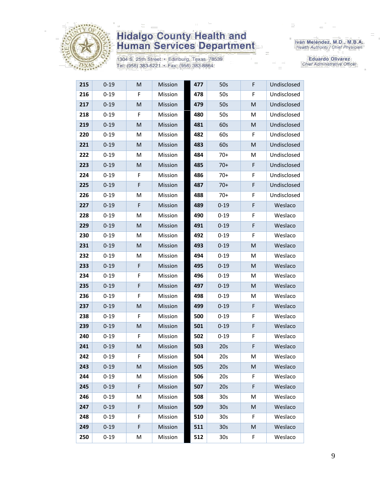

1304 S. 25th Street • Edinburg, Texas 78539<br>Tel: (956) 383-6221 • Fax: (956) 383-8864

Iván Meléndez, M.D., M.B.A.<br>Health Authority / Chief Physician

| 215 | $0 - 19$ | M | Mission | 477 | 50s             | F  | Undisclosed |
|-----|----------|---|---------|-----|-----------------|----|-------------|
| 216 | $0 - 19$ | F | Mission | 478 | 50s             | F  | Undisclosed |
| 217 | $0 - 19$ | M | Mission | 479 | 50s             | M  | Undisclosed |
| 218 | $0 - 19$ | F | Mission | 480 | 50s             | M  | Undisclosed |
| 219 | $0 - 19$ | M | Mission | 481 | 60s             | M  | Undisclosed |
| 220 | $0 - 19$ | M | Mission | 482 | 60s             | F  | Undisclosed |
| 221 | $0 - 19$ | M | Mission | 483 | 60s             | M  | Undisclosed |
| 222 | $0 - 19$ | M | Mission | 484 | $70+$           | M  | Undisclosed |
| 223 | $0 - 19$ | M | Mission | 485 | $70+$           | F  | Undisclosed |
| 224 | $0 - 19$ | F | Mission | 486 | $70+$           | F  | Undisclosed |
| 225 | $0 - 19$ | F | Mission | 487 | $70+$           | F  | Undisclosed |
| 226 | $0 - 19$ | M | Mission | 488 | $70+$           | F  | Undisclosed |
| 227 | $0 - 19$ | F | Mission | 489 | $0 - 19$        | F  | Weslaco     |
| 228 | $0 - 19$ | M | Mission | 490 | $0 - 19$        | F  | Weslaco     |
| 229 | $0 - 19$ | M | Mission | 491 | $0 - 19$        | F  | Weslaco     |
| 230 | $0 - 19$ | M | Mission | 492 | $0 - 19$        | F  | Weslaco     |
| 231 | $0 - 19$ | M | Mission | 493 | $0 - 19$        | M  | Weslaco     |
| 232 | $0 - 19$ | M | Mission | 494 | $0 - 19$        | M  | Weslaco     |
| 233 | $0 - 19$ | F | Mission | 495 | $0 - 19$        | M  | Weslaco     |
| 234 | $0 - 19$ | F | Mission | 496 | $0 - 19$        | M  | Weslaco     |
| 235 | $0 - 19$ | F | Mission | 497 | $0 - 19$        | M  | Weslaco     |
| 236 | $0 - 19$ | F | Mission | 498 | $0 - 19$        | M  | Weslaco     |
| 237 | $0 - 19$ | M | Mission | 499 | $0 - 19$        | F  | Weslaco     |
| 238 | $0 - 19$ | F | Mission | 500 | $0 - 19$        | F  | Weslaco     |
| 239 | $0 - 19$ | M | Mission | 501 | $0 - 19$        | F  | Weslaco     |
| 240 | $0 - 19$ | F | Mission | 502 | $0 - 19$        | F  | Weslaco     |
| 241 | $0 - 19$ | M | Mission | 503 | 20s             | F  | Weslaco     |
| 242 | $0 - 19$ | F | Mission | 504 | 20s             | M  | Weslaco     |
| 243 | $0 - 19$ | M | Mission | 505 | 20s             | M  | Weslaco     |
| 244 | $0 - 19$ | М | Mission | 506 | 20s             | F  | Weslaco     |
| 245 | $0 - 19$ | F | Mission | 507 | 20s             | F  | Weslaco     |
| 246 | $0 - 19$ | M | Mission | 508 | 30s             | M  | Weslaco     |
| 247 | $0 - 19$ | F | Mission | 509 | 30 <sub>s</sub> | M  | Weslaco     |
| 248 | $0 - 19$ | F | Mission | 510 | 30 <sub>s</sub> | F. | Weslaco     |
| 249 | $0 - 19$ | F | Mission | 511 | 30 <sub>s</sub> | M  | Weslaco     |
| 250 | $0 - 19$ | M | Mission | 512 | 30 <sub>s</sub> | F  | Weslaco     |